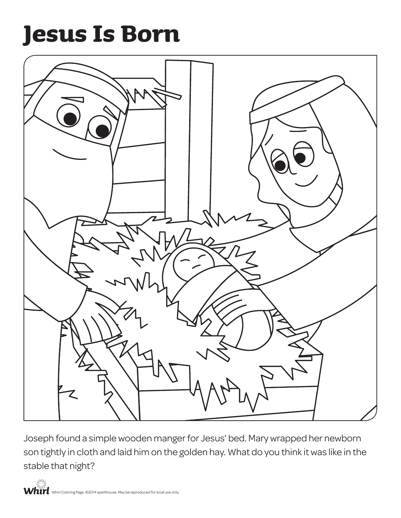## **Jesus Is Born**



Joseph found a simple wooden manger for Jesus' bed. Mary wrapped her newborn son tightly in cloth and laid him on the golden hay. What do you think it was like in the stable that night?

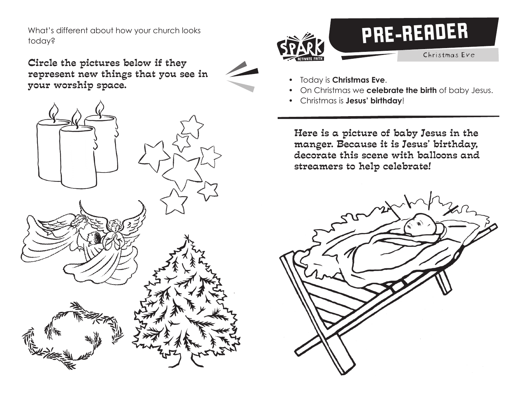What's different about how your church looks today?

Circle the pictures below if they represent new things that you see in your worship space. • Today is **Christmas Eve**.





- 
- On Christmas we **celebrate the birth** of baby Jesus.
- Christmas is **Jesus' birthday**!

Here is a picture of baby Jesus in the manger. Because it is Jesus' birthday, decorate this scene with balloons and streamers to help celebrate!